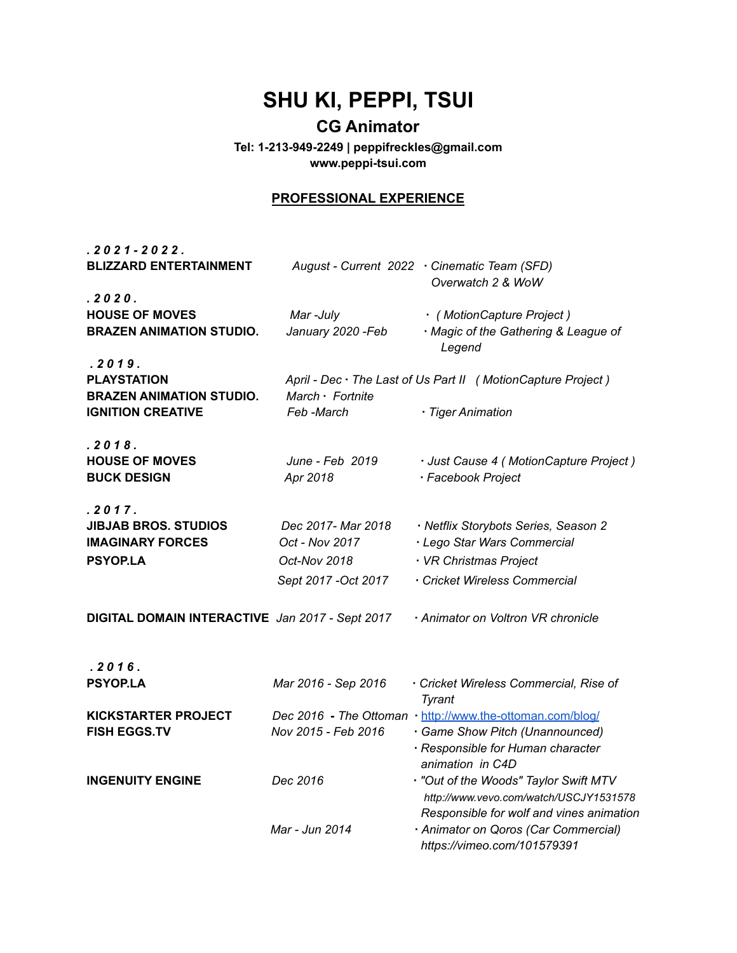## **SHU KI, PEPPI, TSUI**

## **CG Animator**

**Tel: 1-213-949-2249 | peppifreckles@gmail.com www.peppi-tsui.com**

## **PROFESSIONAL EXPERIENCE**

| $.2021 - 2022.$<br><b>BLIZZARD ENTERTAINMENT</b>                                            |                                      | August - Current 2022 · Cinematic Team (SFD)                                                                                                          |
|---------------------------------------------------------------------------------------------|--------------------------------------|-------------------------------------------------------------------------------------------------------------------------------------------------------|
|                                                                                             |                                      | Overwatch 2 & WoW                                                                                                                                     |
| .2020.<br><b>HOUSE OF MOVES</b><br><b>BRAZEN ANIMATION STUDIO.</b>                          | Mar-July<br>January 2020 - Feb       | · (MotionCapture Project)<br>· Magic of the Gathering & League of<br>Legend                                                                           |
| .2019.<br><b>PLAYSTATION</b><br><b>BRAZEN ANIMATION STUDIO.</b><br><b>IGNITION CREATIVE</b> | March · Fortnite<br>Feb -March       | April - Dec · The Last of Us Part II ( Motion Capture Project )<br>· Tiger Animation                                                                  |
|                                                                                             |                                      |                                                                                                                                                       |
| .2018.<br><b>HOUSE OF MOVES</b><br><b>BUCK DESIGN</b>                                       | June - Feb 2019<br>Apr 2018          | · Just Cause 4 (MotionCapture Project)<br>· Facebook Project                                                                                          |
| .2017.                                                                                      |                                      |                                                                                                                                                       |
| <b>JIBJAB BROS. STUDIOS</b><br><b>IMAGINARY FORCES</b>                                      | Dec 2017- Mar 2018<br>Oct - Nov 2017 | · Netflix Storybots Series, Season 2<br>· Lego Star Wars Commercial                                                                                   |
| <b>PSYOP.LA</b>                                                                             | Oct-Nov 2018                         | · VR Christmas Project                                                                                                                                |
|                                                                                             | Sept 2017 - Oct 2017                 | · Cricket Wireless Commercial                                                                                                                         |
| DIGITAL DOMAIN INTERACTIVE Jan 2017 - Sept 2017                                             |                                      | · Animator on Voltron VR chronicle                                                                                                                    |
| .2016.                                                                                      |                                      |                                                                                                                                                       |
| <b>PSYOP.LA</b>                                                                             | Mar 2016 - Sep 2016                  | · Cricket Wireless Commercial, Rise of<br>Tyrant                                                                                                      |
| <b>KICKSTARTER PROJECT</b><br><b>FISH EGGS.TV</b>                                           | Nov 2015 - Feb 2016                  | Dec 2016 - The Ottoman · http://www.the-ottoman.com/blog/<br>· Game Show Pitch (Unannounced)<br>· Responsible for Human character<br>animation in C4D |
| <b>INGENUITY ENGINE</b>                                                                     | Dec 2016                             | . "Out of the Woods" Taylor Swift MTV<br>http://www.vevo.com/watch/USCJY1531578<br>Responsible for wolf and vines animation                           |
|                                                                                             | Mar - Jun 2014                       | · Animator on Qoros (Car Commercial)<br>https://vimeo.com/101579391                                                                                   |